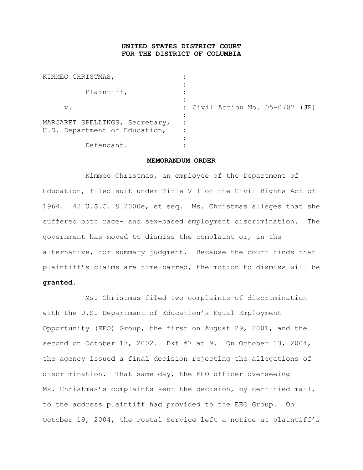## **UNITED STATES DISTRICT COURT FOR THE DISTRICT OF COLUMBIA**

| KIMMEO CHRISTMAS,                                               |                                 |
|-----------------------------------------------------------------|---------------------------------|
| Plaintiff,                                                      |                                 |
| $\mathbf v$ .                                                   | : Civil Action No. 05-0707 (JR) |
| MARGARET SPELLINGS, Secretary,<br>U.S. Department of Education, |                                 |
| Defendant.                                                      |                                 |

## **MEMORANDUM ORDER**

Kimmeo Christmas, an employee of the Department of Education, filed suit under Title VII of the Civil Rights Act of 1964. 42 U.S.C. § 2000e, et seq. Ms. Christmas alleges that she suffered both race- and sex-based employment discrimination. The government has moved to dismiss the complaint or, in the alternative, for summary judgment. Because the court finds that plaintiff's claims are time-barred, the motion to dismiss will be **granted**.

Ms. Christmas filed two complaints of discrimination with the U.S. Department of Education's Equal Employment Opportunity (EEO) Group, the first on August 29, 2001, and the second on October 17, 2002. Dkt #7 at 9. On October 13, 2004, the agency issued a final decision rejecting the allegations of discrimination. That same day, the EEO officer overseeing Ms. Christmas's complaints sent the decision, by certified mail, to the address plaintiff had provided to the EEO Group. On October 19, 2004, the Postal Service left a notice at plaintiff's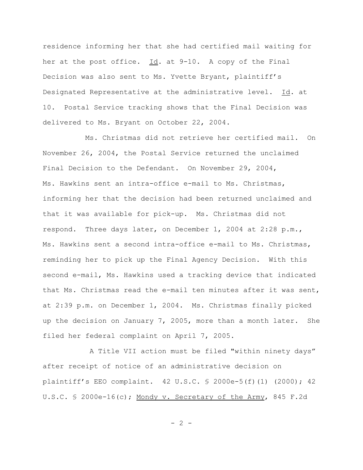residence informing her that she had certified mail waiting for her at the post office. Id. at 9-10. A copy of the Final Decision was also sent to Ms. Yvette Bryant, plaintiff's Designated Representative at the administrative level. Id. at 10. Postal Service tracking shows that the Final Decision was delivered to Ms. Bryant on October 22, 2004.

Ms. Christmas did not retrieve her certified mail. On November 26, 2004, the Postal Service returned the unclaimed Final Decision to the Defendant. On November 29, 2004, Ms. Hawkins sent an intra-office e-mail to Ms. Christmas, informing her that the decision had been returned unclaimed and that it was available for pick-up. Ms. Christmas did not respond. Three days later, on December 1, 2004 at 2:28 p.m., Ms. Hawkins sent a second intra-office e-mail to Ms. Christmas, reminding her to pick up the Final Agency Decision. With this second e-mail, Ms. Hawkins used a tracking device that indicated that Ms. Christmas read the e-mail ten minutes after it was sent, at 2:39 p.m. on December 1, 2004. Ms. Christmas finally picked up the decision on January 7, 2005, more than a month later. She filed her federal complaint on April 7, 2005.

 A Title VII action must be filed "within ninety days" after receipt of notice of an administrative decision on plaintiff's EEO complaint. 42 U.S.C. § 2000e-5(f)(1) (2000); 42 U.S.C. § 2000e-16(c); Mondy v. Secretary of the Army, 845 F.2d

 $- 2 -$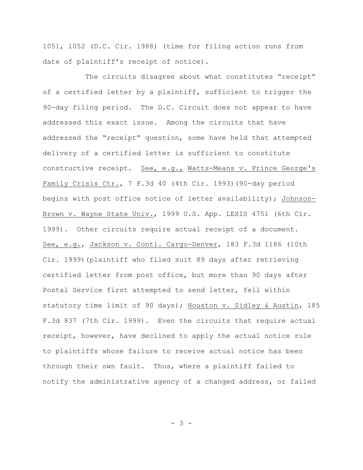1051, 1052 (D.C. Cir. 1988) (time for filing action runs from date of plaintiff's receipt of notice).

The circuits disagree about what constitutes "receipt" of a certified letter by a plaintiff, sufficient to trigger the 90-day filing period. The D.C. Circuit does not appear to have addressed this exact issue. Among the circuits that have addressed the "receipt" question, some have held that attempted delivery of a certified letter is sufficient to constitute constructive receipt. See, e.g., Watts-Means v. Prince George's Family Crisis Ctr., 7 F.3d 40 (4th Cir. 1993)(90-day period begins with post office notice of letter availability); Johnson-Brown v. Wayne State Univ., 1999 U.S. App. LEXIS 4751 (6th Cir. 1999). Other circuits require actual receipt of a document. See, e.g., Jackson v. Contl. Cargo-Denver, 183 F.3d 1186 (10th Cir. 1999)(plaintiff who filed suit 89 days after retrieving certified letter from post office, but more than 90 days after Postal Service first attempted to send letter, fell within statutory time limit of 90 days); Houston v. Sidley & Austin, 185 F.3d 837 (7th Cir. 1999). Even the circuits that require actual receipt, however, have declined to apply the actual notice rule to plaintiffs whose failure to receive actual notice has been through their own fault. Thus, where a plaintiff failed to notify the administrative agency of a changed address, or failed

- 3 -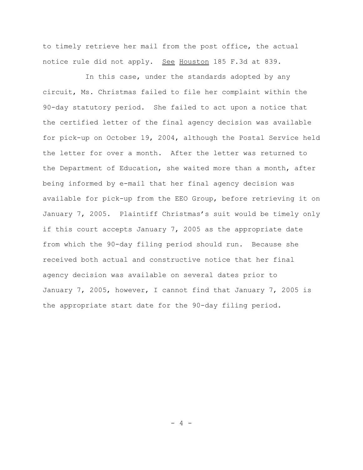to timely retrieve her mail from the post office, the actual notice rule did not apply. See Houston 185 F.3d at 839.

In this case, under the standards adopted by any circuit, Ms. Christmas failed to file her complaint within the 90-day statutory period. She failed to act upon a notice that the certified letter of the final agency decision was available for pick-up on October 19, 2004, although the Postal Service held the letter for over a month. After the letter was returned to the Department of Education, she waited more than a month, after being informed by e-mail that her final agency decision was available for pick-up from the EEO Group, before retrieving it on January 7, 2005. Plaintiff Christmas's suit would be timely only if this court accepts January 7, 2005 as the appropriate date from which the 90-day filing period should run. Because she received both actual and constructive notice that her final agency decision was available on several dates prior to January 7, 2005, however, I cannot find that January 7, 2005 is the appropriate start date for the 90-day filing period.

 $-4 -$